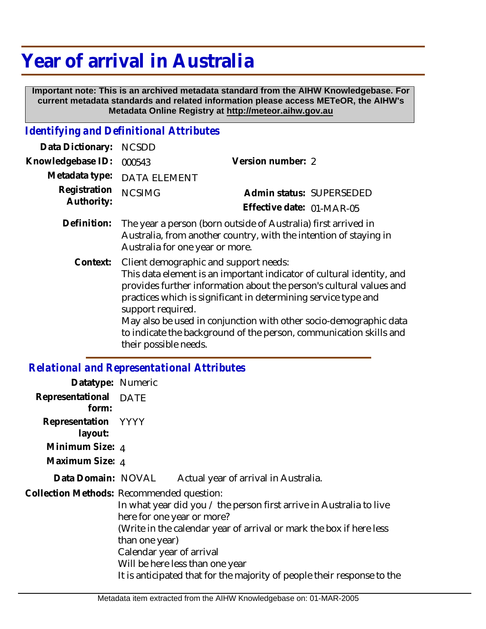## **Year of arrival in Australia**

 **Important note: This is an archived metadata standard from the AIHW Knowledgebase. For current metadata standards and related information please access METeOR, the AIHW's Metadata Online Registry at http://meteor.aihw.gov.au**

## *Identifying and Definitional Attributes*

| Data Dictionary:           | <b>NCSDD</b>                                                                                                                                                                                                                                                                                                                                                                                                                                     |                                                       |
|----------------------------|--------------------------------------------------------------------------------------------------------------------------------------------------------------------------------------------------------------------------------------------------------------------------------------------------------------------------------------------------------------------------------------------------------------------------------------------------|-------------------------------------------------------|
| Knowledgebase ID:          | 000543                                                                                                                                                                                                                                                                                                                                                                                                                                           | Version number: 2                                     |
| Metadata type:             | <b>DATA ELEMENT</b>                                                                                                                                                                                                                                                                                                                                                                                                                              |                                                       |
| Registration<br>Authority: | <b>NCSIMG</b>                                                                                                                                                                                                                                                                                                                                                                                                                                    | Admin status: SUPERSEDED<br>Effective date: 01-MAR-05 |
| Definition:                | The year a person (born outside of Australia) first arrived in<br>Australia, from another country, with the intention of staying in<br>Australia for one year or more.                                                                                                                                                                                                                                                                           |                                                       |
| Context:                   | Client demographic and support needs:<br>This data element is an important indicator of cultural identity, and<br>provides further information about the person's cultural values and<br>practices which is significant in determining service type and<br>support required.<br>May also be used in conjunction with other socio-demographic data<br>to indicate the background of the person, communication skills and<br>their possible needs. |                                                       |
|                            | <b>Relational and Representational Attributes</b>                                                                                                                                                                                                                                                                                                                                                                                                |                                                       |

| Datatype: Numeric              |                                                                                                                                                                                                                                                                                                                                                                                   |
|--------------------------------|-----------------------------------------------------------------------------------------------------------------------------------------------------------------------------------------------------------------------------------------------------------------------------------------------------------------------------------------------------------------------------------|
| Representational DATE<br>form: |                                                                                                                                                                                                                                                                                                                                                                                   |
| Representation YYYY<br>layout: |                                                                                                                                                                                                                                                                                                                                                                                   |
| Minimum Size: 4                |                                                                                                                                                                                                                                                                                                                                                                                   |
| Maximum Size: 4                |                                                                                                                                                                                                                                                                                                                                                                                   |
| Data Domain: NOVAL             | Actual year of arrival in Australia.                                                                                                                                                                                                                                                                                                                                              |
|                                | Collection Methods: Recommended question:<br>In what year did you / the person first arrive in Australia to live<br>here for one year or more?<br>(Write in the calendar year of arrival or mark the box if here less<br>than one year)<br>Calendar year of arrival<br>Will be here less than one year<br>It is anticipated that for the majority of people their response to the |